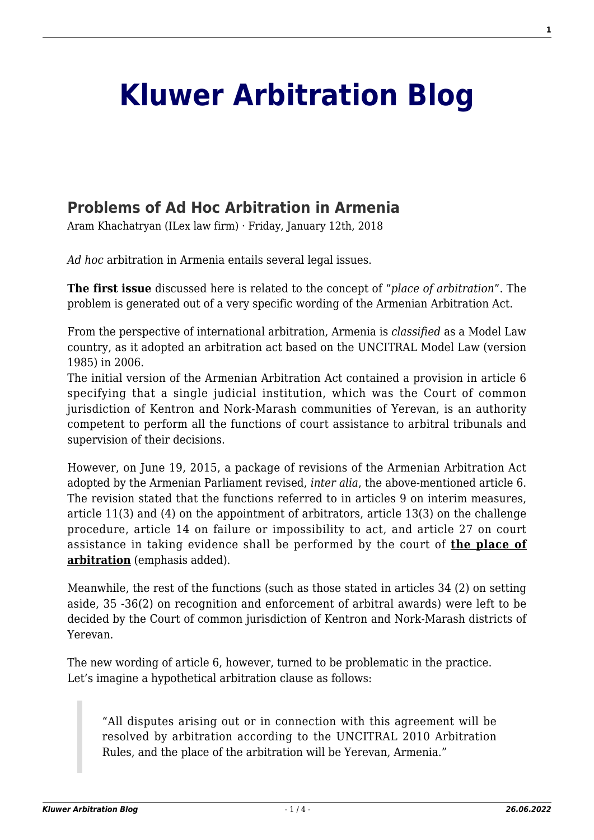# **[Kluwer Arbitration Blog](http://arbitrationblog.kluwerarbitration.com/)**

# **[Problems of Ad Hoc Arbitration in Armenia](http://arbitrationblog.kluwerarbitration.com/2018/01/12/problems-ad-hoc-arbitration-armenia/)**

Aram Khachatryan (ILex law firm) · Friday, January 12th, 2018

*Ad hoc* arbitration in Armenia entails several legal issues.

**The first issue** discussed here is related to the concept of "*place of arbitration*". The problem is generated out of a very specific wording of the Armenian Arbitration Act.

From the perspective of international arbitration, Armenia is *classified* as a Model Law country, as it adopted an arbitration act based on the UNCITRAL Model Law (version 1985) in 2006.

The initial version of the Armenian Arbitration Act contained a provision in article 6 specifying that a single judicial institution, which was the Court of common jurisdiction of Kentron and Nork-Marash communities of Yerevan, is an authority competent to perform all the functions of court assistance to arbitral tribunals and supervision of their decisions.

However, on June 19, 2015, a package of revisions of the Armenian Arbitration Act adopted by the Armenian Parliament revised, *inter alia*, the above-mentioned article 6. The revision stated that the functions referred to in articles 9 on interim measures, article 11(3) and (4) on the appointment of arbitrators, article 13(3) on the challenge procedure, article 14 on failure or impossibility to act, and article 27 on court assistance in taking evidence shall be performed by the court of **the place of arbitration** (emphasis added).

Meanwhile, the rest of the functions (such as those stated in articles 34 (2) on setting aside, 35 -36(2) on recognition and enforcement of arbitral awards) were left to be decided by the Court of common jurisdiction of Kentron and Nork-Marash districts of Yerevan.

The new wording of article 6, however, turned to be problematic in the practice. Let's imagine a hypothetical arbitration clause as follows:

"All disputes arising out or in connection with this agreement will be resolved by arbitration according to the UNCITRAL 2010 Arbitration Rules, and the place of the arbitration will be Yerevan, Armenia."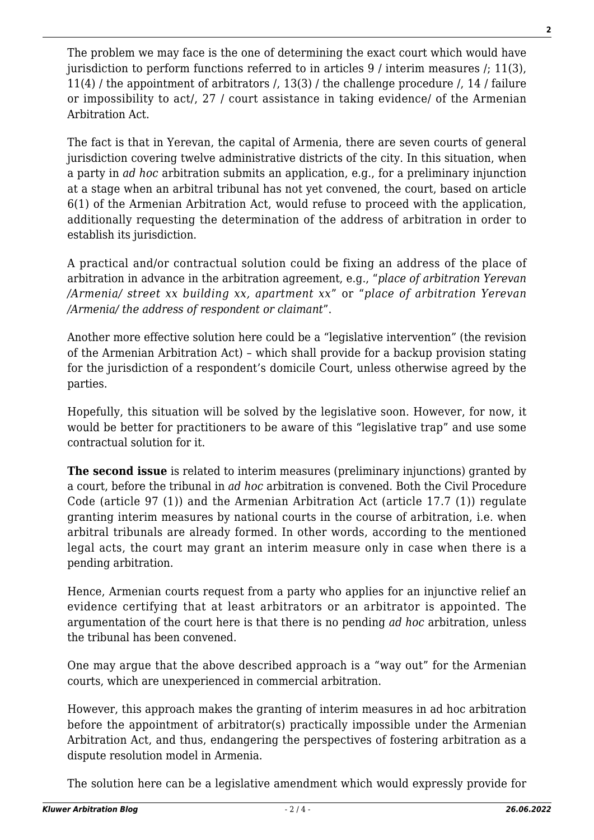The problem we may face is the one of determining the exact court which would have jurisdiction to perform functions referred to in articles 9 / interim measures /; 11(3), 11(4) / the appointment of arbitrators /, 13(3) / the challenge procedure /, 14 / failure or impossibility to act/, 27 / court assistance in taking evidence/ of the Armenian Arbitration Act.

The fact is that in Yerevan, the capital of Armenia, there are seven courts of general jurisdiction covering twelve administrative districts of the city. In this situation, when a party in *ad hoc* arbitration submits an application, e.g., for a preliminary injunction at a stage when an arbitral tribunal has not yet convened, the court, based on article 6(1) of the Armenian Arbitration Act, would refuse to proceed with the application, additionally requesting the determination of the address of arbitration in order to establish its jurisdiction.

A practical and/or contractual solution could be fixing an address of the place of arbitration in advance in the arbitration agreement, e.g., "*place of arbitration Yerevan /Armenia/ street xx building xx, apartment xx*" or "*place of arbitration Yerevan /Armenia/ the address of respondent or claimant*".

Another more effective solution here could be a "legislative intervention" (the revision of the Armenian Arbitration Act) – which shall provide for a backup provision stating for the jurisdiction of a respondent's domicile Court, unless otherwise agreed by the parties.

Hopefully, this situation will be solved by the legislative soon. However, for now, it would be better for practitioners to be aware of this "legislative trap" and use some contractual solution for it.

**The second issue** is related to interim measures (preliminary injunctions) granted by a court, before the tribunal in *ad hoc* arbitration is convened. Both the Civil Procedure Code (article 97 (1)) and the Armenian Arbitration Act (article 17.7 (1)) regulate granting interim measures by national courts in the course of arbitration, i.e. when arbitral tribunals are already formed. In other words, according to the mentioned legal acts, the court may grant an interim measure only in case when there is a pending arbitration.

Hence, Armenian courts request from a party who applies for an injunctive relief an evidence certifying that at least arbitrators or an arbitrator is appointed. The argumentation of the court here is that there is no pending *ad hoc* arbitration, unless the tribunal has been convened.

One may argue that the above described approach is a "way out" for the Armenian courts, which are unexperienced in commercial arbitration.

However, this approach makes the granting of interim measures in ad hoc arbitration before the appointment of arbitrator(s) practically impossible under the Armenian Arbitration Act, and thus, endangering the perspectives of fostering arbitration as a dispute resolution model in Armenia.

The solution here can be a legislative amendment which would expressly provide for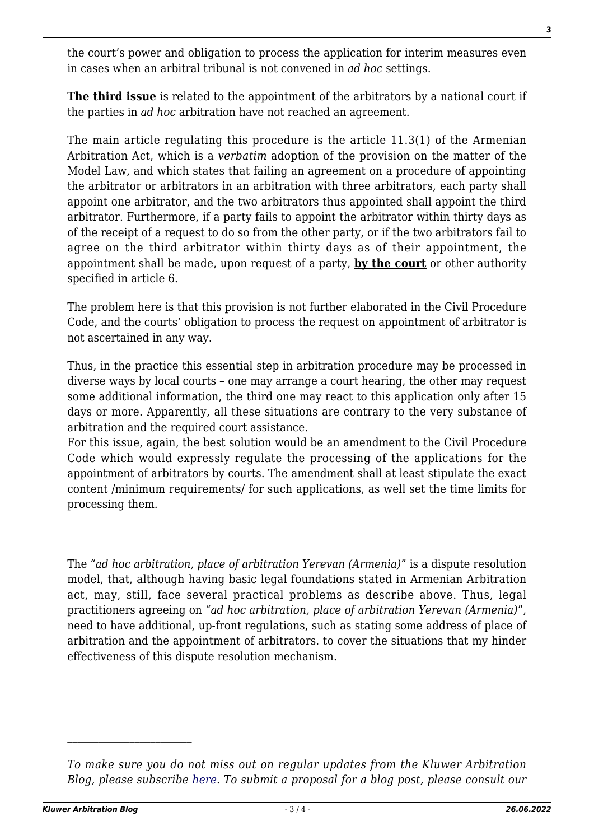the court's power and obligation to process the application for interim measures even in cases when an arbitral tribunal is not convened in *ad hoc* settings.

**The third issue** is related to the appointment of the arbitrators by a national court if the parties in *ad hoc* arbitration have not reached an agreement.

The main article regulating this procedure is the article 11.3(1) of the Armenian Arbitration Act, which is a *verbatim* adoption of the provision on the matter of the Model Law, and which states that failing an agreement on a procedure of appointing the arbitrator or arbitrators in an arbitration with three arbitrators, each party shall appoint one arbitrator, and the two arbitrators thus appointed shall appoint the third arbitrator. Furthermore, if a party fails to appoint the arbitrator within thirty days as of the receipt of a request to do so from the other party, or if the two arbitrators fail to agree on the third arbitrator within thirty days as of their appointment, the appointment shall be made, upon request of a party, **by the court** or other authority specified in article 6.

The problem here is that this provision is not further elaborated in the Civil Procedure Code, and the courts' obligation to process the request on appointment of arbitrator is not ascertained in any way.

Thus, in the practice this essential step in arbitration procedure may be processed in diverse ways by local courts – one may arrange a court hearing, the other may request some additional information, the third one may react to this application only after 15 days or more. Apparently, all these situations are contrary to the very substance of arbitration and the required court assistance.

For this issue, again, the best solution would be an amendment to the Civil Procedure Code which would expressly regulate the processing of the applications for the appointment of arbitrators by courts. The amendment shall at least stipulate the exact content /minimum requirements/ for such applications, as well set the time limits for processing them.

The "*ad hoc arbitration, place of arbitration Yerevan (Armenia)*" is a dispute resolution model, that, although having basic legal foundations stated in Armenian Arbitration act, may, still, face several practical problems as describe above. Thus, legal practitioners agreeing on "*ad hoc arbitration, place of arbitration Yerevan (Armenia)*", need to have additional, up-front regulations, such as stating some address of place of arbitration and the appointment of arbitrators. to cover the situations that my hinder effectiveness of this dispute resolution mechanism.

*To make sure you do not miss out on regular updates from the Kluwer Arbitration Blog, please subscribe [here](http://arbitrationblog.kluwerarbitration.com/newsletter/). To submit a proposal for a blog post, please consult our*